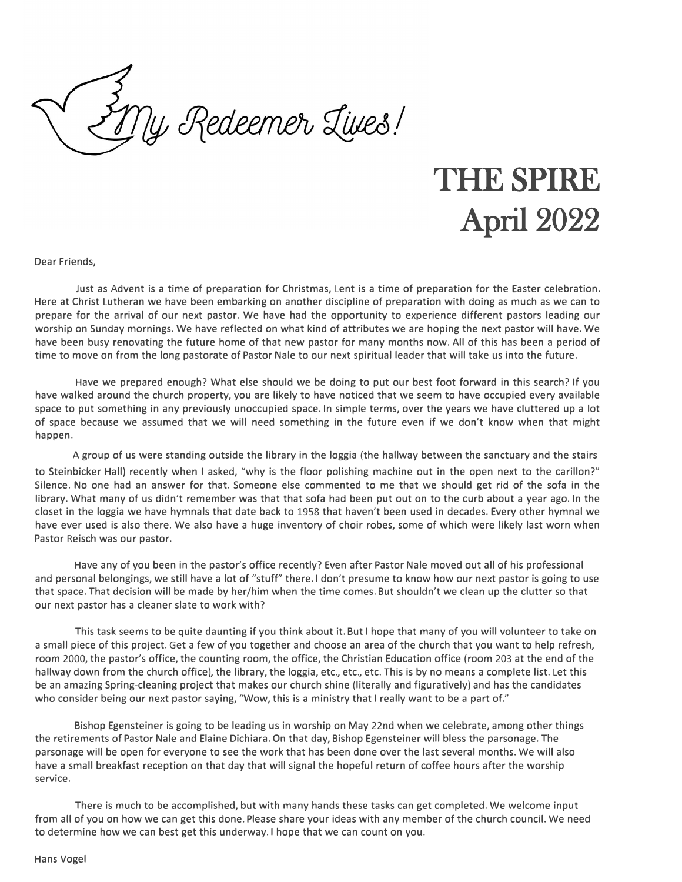ly Redeemer Lives!

# THE SPIRE April 2022

Dear Friends,

Just as Advent is a time of preparation for Christmas, Lent is a time of preparation for the Easter celebration. Here at Christ Lutheran we have been embarking on another discipline of preparation with doing as much as we can to prepare for the arrival of our next pastor. We have had the opportunity to experience different pastors leading our worship on Sunday mornings. We have reflected on what kind of attributes we are hoping the next pastor will have. We have been busy renovating the future home of that new pastor for many months now. All of this has been a period of time to move on from the long pastorate of Pastor Nale to our next spiritual leader that will take us into the future.

Have we prepared enough? What else should we be doing to put our best foot forward in this search? If you have walked around the church property, you are likely to have noticed that we seem to have occupied every available space to put something in any previously unoccupied space. In simple terms, over the years we have cluttered up a lot of space because we assumed that we will need something in the future even if we don't know when that might happen.

A group of us were standing outside the library in the loggia (the hallway between the sanctuary and the stairs to Steinbicker Hall) recently when I asked, "why is the floor polishing machine out in the open next to the carillon?" Silence. No one had an answer for that. Someone else commented to me that we should get rid of the sofa in the library. What many of us didn't remember was that that sofa had been put out on to the curb about a year ago. In the closet in the loggia we have hymnals that date back to 1958 that haven't been used in decades. Every other hymnal we have ever used is also there. We also have a huge inventory of choir robes, some of which were likely last worn when Pastor Reisch was our pastor.

Have any of you been in the pastor's office recently? Even after Pastor Nale moved out all of his professional and personal belongings, we still have a lot of "stuff" there. I don't presume to know how our next pastor is going to use that space. That decision will be made by her/him when the time comes. But shouldn't we clean up the clutter so that our next pastor has a cleaner slate to work with?

This task seems to be quite daunting if you think about it. But I hope that many of you will volunteer to take on a small piece of this project. Get a few of you together and choose an area of the church that you want to help refresh, room 2000, the pastor's office, the counting room, the office, the Christian Education office (room 203 at the end of the hallway down from the church office), the library, the loggia, etc., etc., etc. This is by no means a complete list. Let this be an amazing Spring-cleaning project that makes our church shine (literally and figuratively) and has the candidates who consider being our next pastor saying, "Wow, this is a ministry that I really want to be a part of."

Bishop Egensteiner is going to be leading us in worship on May 22nd when we celebrate, among other things the retirements of Pastor Nale and Elaine Dichiara. On that day, Bishop Egensteiner will bless the parsonage. The parsonage will be open for everyone to see the work that has been done over the last several months. We will also have a small breakfast reception on that day that will signal the hopeful return of coffee hours after the worship service.

There is much to be accomplished, but with many hands these tasks can get completed. We welcome input from all of you on how we can get this done. Please share your ideas with any member of the church council. We need to determine how we can best get this underway. I hope that we can count on you.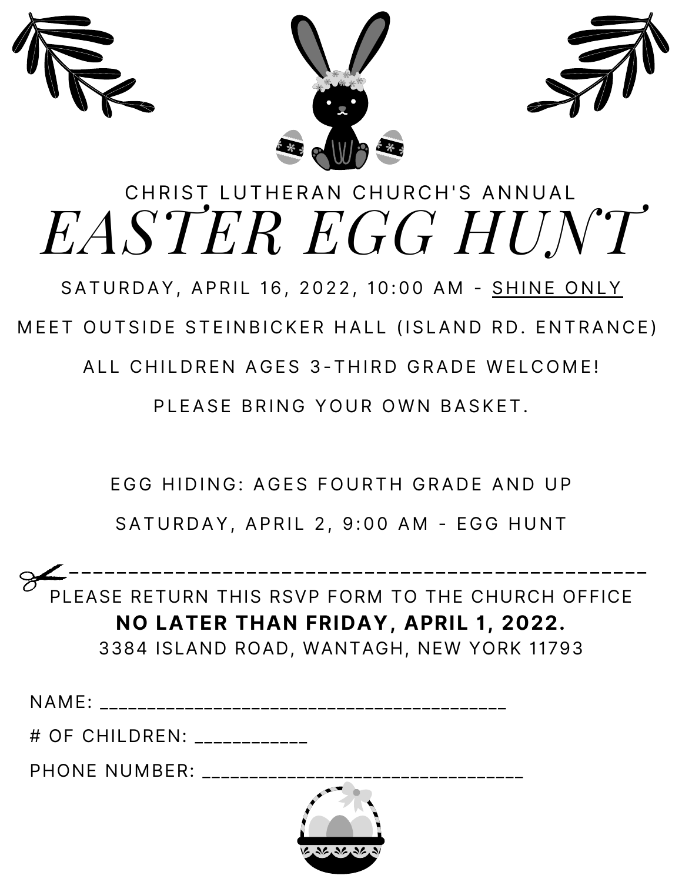



# CHRIST LUTHERAN CHURCH'S ANNUAL *EASTER EGG HUNT*

SATURDAY, APRIL 16, 2022, 10:00 AM - SHINE ONLY

MEET OUTSIDE STEINBICKER HALL (ISLAND RD. ENTRANCE)

ALL CHILDREN AGES 3-THIRD GRADE WELCOME!

PLEASE BRING YOUR OWN BASKET.

EGG HIDING: AGES FOURTH GRADE AND UP

SATURDAY, APRIL 2, 9:00 AM - EGG HUNT

 \_ \_ \_ \_ \_ \_ \_ \_ \_ \_ \_ \_ \_ \_ \_ \_ \_ \_ \_ \_ \_ \_ \_ \_ \_ \_ \_ \_ \_ \_ \_ \_ \_ \_ \_ \_ \_ \_ \_ \_ \_ \_ \_ \_ \_ \_ \_ \_ \_ PLEASE RETURN THIS RSVP FORM TO THE CHURCH OFFICE **NO LATER THAN FRIDAY, APRIL 1, 2022.** 3384 ISLAND ROAD, WANTAGH, NEW YORK 11793

NAME: \_\_\_\_\_\_\_\_\_\_\_\_\_\_\_\_\_\_\_\_\_\_\_\_\_\_\_\_\_\_\_\_\_\_\_\_\_\_\_\_\_\_\_

# OF CHILDREN: \_\_\_\_\_\_\_\_\_\_\_\_

PHONE NUMBER:

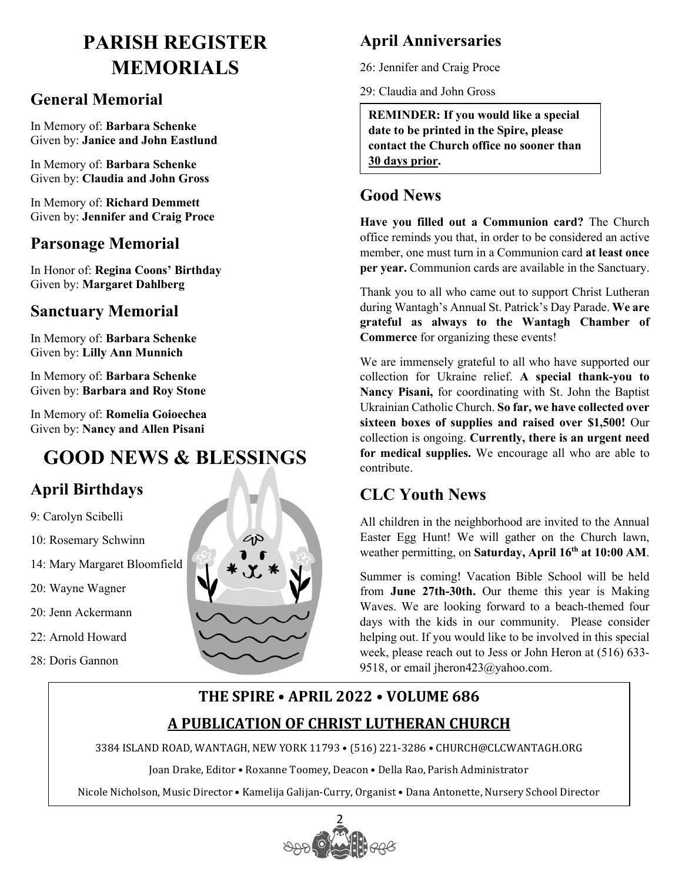### **PARISH REGISTER MEMORIALS**

#### **General Memorial**

In Memory of: **Barbara Schenke** Given by: **Janice and John Eastlund**

In Memory of: **Barbara Schenke** Given by: **Claudia and John Gross**

In Memory of: **Richard Demmett** Given by: **Jennifer and Craig Proce** 

#### **Parsonage Memorial**

In Honor of: **Regina Coons' Birthday**  Given by: **Margaret Dahlberg**

#### **Sanctuary Memorial**

In Memory of: **Barbara Schenke** Given by: **Lilly Ann Munnich**

In Memory of: **Barbara Schenke** Given by: **Barbara and Roy Stone** 

In Memory of: **Romelia Goioechea** Given by: **Nancy and Allen Pisani**

### **GOOD NEWS & BLESSINGS**

#### **April Birthdays**

- 9: Carolyn Scibelli
- 10: Rosemary Schwinn
- 14: Mary Margaret Bloomfield
- 20: Wayne Wagner
- 20: Jenn Ackermann
- 22: Arnold Howard
- 28: Doris Gannon



#### **April Anniversaries**

26: Jennifer and Craig Proce

29: Claudia and John Gross

**REMINDER: If you would like a special date to be printed in the Spire, please contact the Church office no sooner than 30 days prior.** 

#### **Good News**

**Have you filled out a Communion card?** The Church office reminds you that, in order to be considered an active member, one must turn in a Communion card **at least once per year.** Communion cards are available in the Sanctuary.

Thank you to all who came out to support Christ Lutheran during Wantagh's Annual St. Patrick's Day Parade. **We are grateful as always to the Wantagh Chamber of Commerce** for organizing these events!

We are immensely grateful to all who have supported our collection for Ukraine relief. **A special thank-you to Nancy Pisani,** for coordinating with St. John the Baptist Ukrainian Catholic Church. **So far, we have collected over sixteen boxes of supplies and raised over \$1,500!** Our collection is ongoing. **Currently, there is an urgent need for medical supplies.** We encourage all who are able to contribute.

#### **CLC Youth News**

All children in the neighborhood are invited to the Annual Easter Egg Hunt! We will gather on the Church lawn, weather permitting, on **Saturday, April 16th at 10:00 AM**.

Summer is coming! Vacation Bible School will be held from **June 27th-30th.** Our theme this year is Making Waves. We are looking forward to a beach-themed four days with the kids in our community. Please consider helping out. If you would like to be involved in this special week, please reach out to Jess or John Heron at (516) 633- 9518, or email jheron423@yahoo.com.

#### **THE SPIRE • APRIL 2022 • VOLUME 686 A PUBLICATION OF CHRIST LUTHERAN CHURCH**

3384 ISLAND ROAD, WANTAGH, NEW YORK 11793 • (516) 221-3286 • CHURCH@CLCWANTAGH.ORG

Joan Drake, Editor • Roxanne Toomey, Deacon • Della Rao, Parish Administrator

Nicole Nicholson, Music Director • Kamelija Galijan-Curry, Organist • Dana Antonette, Nursery School Director

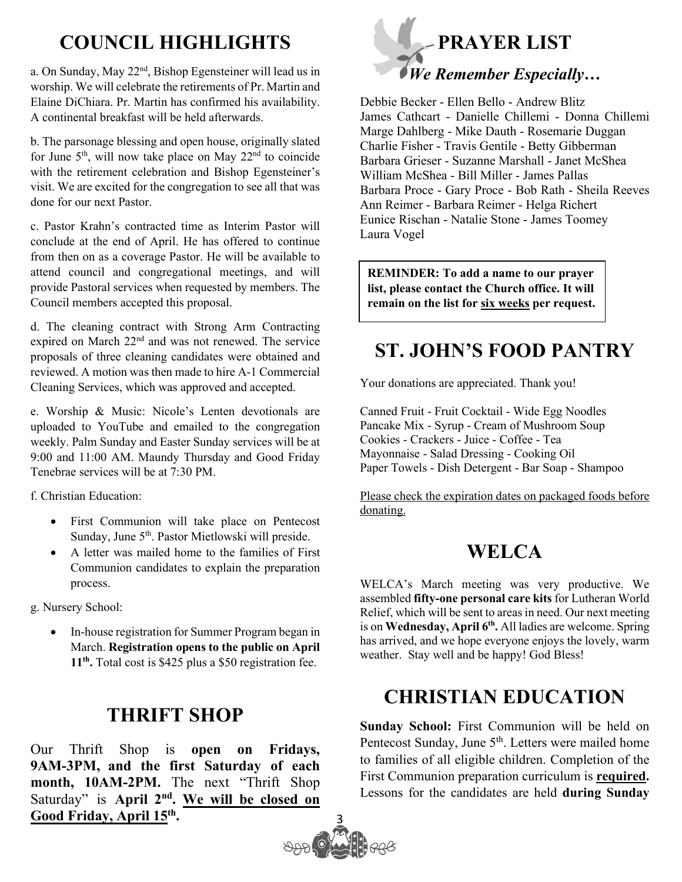### **COUNCIL HIGHLIGHTS**

a. On Sunday, May 22<sup>nd</sup>, Bishop Egensteiner will lead us in worship. We will celebrate the retirements of Pr. Martin and Elaine DiChiara. Pr. Martin has confirmed his availability. A continental breakfast will be held afterwards.

b. The parsonage blessing and open house, originally slated for June  $5<sup>th</sup>$ , will now take place on May  $22<sup>nd</sup>$  to coincide with the retirement celebration and Bishop Egensteiner's visit. We are excited for the congregation to see all that was done for our next Pastor.

c. Pastor Krahn's contracted time as Interim Pastor will conclude at the end of April. He has offered to continue from then on as a coverage Pastor. He will be available to attend council and congregational meetings, and will provide Pastoral services when requested by members. The Council members accepted this proposal.

d. The cleaning contract with Strong Arm Contracting expired on March 22nd and was not renewed. The service proposals of three cleaning candidates were obtained and reviewed. A motion was then made to hire A-1 Commercial Cleaning Services, which was approved and accepted.

e. Worship & Music: Nicole's Lenten devotionals are uploaded to YouTube and emailed to the congregation weekly. Palm Sunday and Easter Sunday services will be at 9:00 and 11:00 AM. Maundy Thursday and Good Friday Tenebrae services will be at 7:30 PM.

f. Christian Education:

- First Communion will take place on Pentecost Sunday, June 5<sup>th</sup>. Pastor Mietlowski will preside.
- A letter was mailed home to the families of First Communion candidates to explain the preparation process.

g. Nursery School:

• In-house registration for Summer Program began in March. **Registration opens to the public on April 11th.** Total cost is \$425 plus a \$50 registration fee.

### **THRIFT SHOP**

Our Thrift Shop is **open on Fridays, 9AM-3PM, and the first Saturday of each**  month, 10AM-2PM. The next "Thrift Shop Saturday" is April 2<sup>nd</sup>. We will be closed on **Good Friday, April 15th .**



Debbie Becker - Ellen Bello - Andrew Blitz James Cathcart - Danielle Chillemi - Donna Chillemi Marge Dahlberg - Mike Dauth - Rosemarie Duggan Charlie Fisher - Travis Gentile - Betty Gibberman Barbara Grieser - Suzanne Marshall - Janet McShea William McShea - Bill Miller - James Pallas Barbara Proce - Gary Proce - Bob Rath - Sheila Reeves Ann Reimer - Barbara Reimer - Helga Richert Eunice Rischan - Natalie Stone - James Toomey Laura Vogel

**REMINDER: To add a name to our prayer list, please contact the Church office. It will remain on the list for six weeks per request.**

### **ST. JOHN'S FOOD PANTRY**

Your donations are appreciated. Thank you!

Canned Fruit - Fruit Cocktail - Wide Egg Noodles Pancake Mix - Syrup - Cream of Mushroom Soup Cookies - Crackers - Juice - Coffee - Tea Mayonnaise - Salad Dressing - Cooking Oil Paper Towels - Dish Detergent - Bar Soap - Shampoo

Please check the expiration dates on packaged foods before donating.

### **WELCA**

WELCA's March meeting was very productive. We assembled **fifty-one personal care kits** for Lutheran World Relief, which will be sent to areas in need. Our next meeting is on Wednesday, April 6<sup>th</sup>. All ladies are welcome. Spring has arrived, and we hope everyone enjoys the lovely, warm weather. Stay well and be happy! God Bless!

### **CHRISTIAN EDUCATION**

**Sunday School:** First Communion will be held on Pentecost Sunday, June 5<sup>th</sup>. Letters were mailed home to families of all eligible children. Completion of the First Communion preparation curriculum is **required.** Lessons for the candidates are held **during Sunday** 

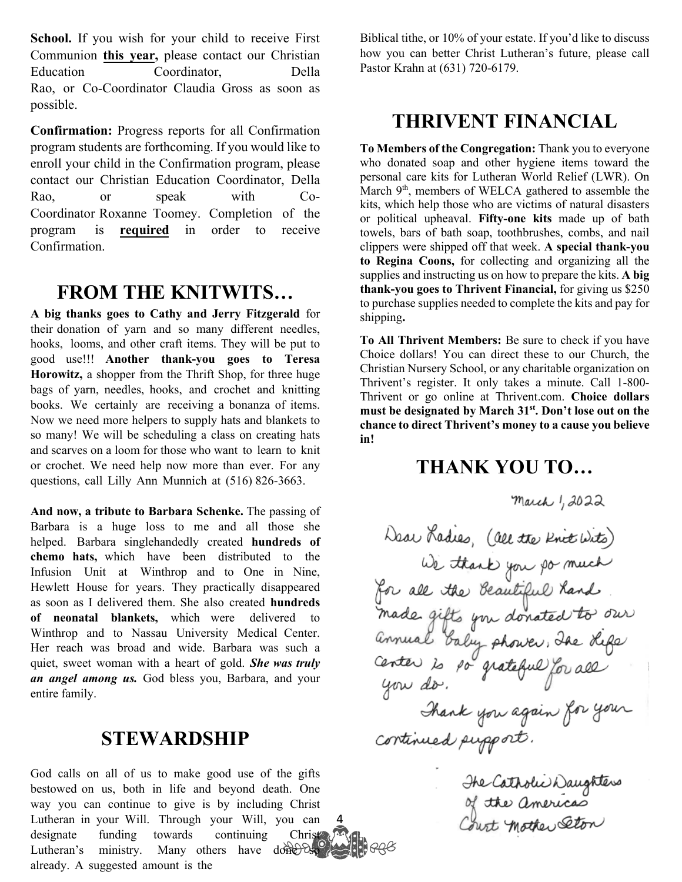School. If you wish for your child to receive First Communion **this year,** please contact our Christian Education Coordinator, Della Rao, or Co-Coordinator Claudia Gross as soon as possible.

**Confirmation:** Progress reports for all Confirmation program students are forthcoming. If you would like to enroll your child in the Confirmation program, please contact our Christian Education Coordinator, Della Rao, or speak with Co-Coordinator Roxanne Toomey. Completion of the program is **required** in order to receive Confirmation.

#### **FROM THE KNITWITS…**

**A big thanks goes to Cathy and Jerry Fitzgerald** for their donation of yarn and so many different needles, hooks, looms, and other craft items. They will be put to good use!!! **Another thank-you goes to Teresa Horowitz,** a shopper from the Thrift Shop, for three huge bags of yarn, needles, hooks, and crochet and knitting books. We certainly are receiving a bonanza of items. Now we need more helpers to supply hats and blankets to so many! We will be scheduling a class on creating hats and scarves on a loom for those who want to learn to knit or crochet. We need help now more than ever. For any questions, call Lilly Ann Munnich at (516) 826-3663.

**And now, a tribute to Barbara Schenke.** The passing of Barbara is a huge loss to me and all those she helped. Barbara singlehandedly created **hundreds of chemo hats,** which have been distributed to the Infusion Unit at Winthrop and to One in Nine, Hewlett House for years. They practically disappeared as soon as I delivered them. She also created **hundreds of neonatal blankets,** which were delivered to Winthrop and to Nassau University Medical Center. Her reach was broad and wide. Barbara was such a quiet, sweet woman with a heart of gold. *She was truly an angel among us.* God bless you, Barbara, and your entire family.

#### **STEWARDSHIP**

4 God calls on all of us to make good use of the gifts bestowed on us, both in life and beyond death. One way you can continue to give is by including Christ Lutheran in your Will. Through your Will, you can designate funding towards continuing Christ Lutheran's ministry. Many others have done by already. A suggested amount is the

Biblical tithe, or 10% of your estate. If you'd like to discuss how you can better Christ Lutheran's future, please call Pastor Krahn at (631) 720-6179.

#### **THRIVENT FINANCIAL**

**To Members of the Congregation:** Thank you to everyone who donated soap and other hygiene items toward the personal care kits for Lutheran World Relief (LWR). On March 9<sup>th</sup>, members of WELCA gathered to assemble the kits, which help those who are victims of natural disasters or political upheaval. **Fifty-one kits** made up of bath towels, bars of bath soap, toothbrushes, combs, and nail clippers were shipped off that week. **A special thank-you to Regina Coons,** for collecting and organizing all the supplies and instructing us on how to prepare the kits. **A big thank-you goes to Thrivent Financial,** for giving us \$250 to purchase supplies needed to complete the kits and pay for shipping**.** 

**To All Thrivent Members:** Be sure to check if you have Choice dollars! You can direct these to our Church, the Christian Nursery School, or any charitable organization on Thrivent's register. It only takes a minute. Call 1-800- Thrivent or go online at Thrivent.com. **Choice dollars must be designated by March 31st. Don't lose out on the chance to direct Thrivent's money to a cause you believe in!** 

#### **THANK YOU TO…**

The Catholic Daughters<br>of the americas<br>Court Mother Eton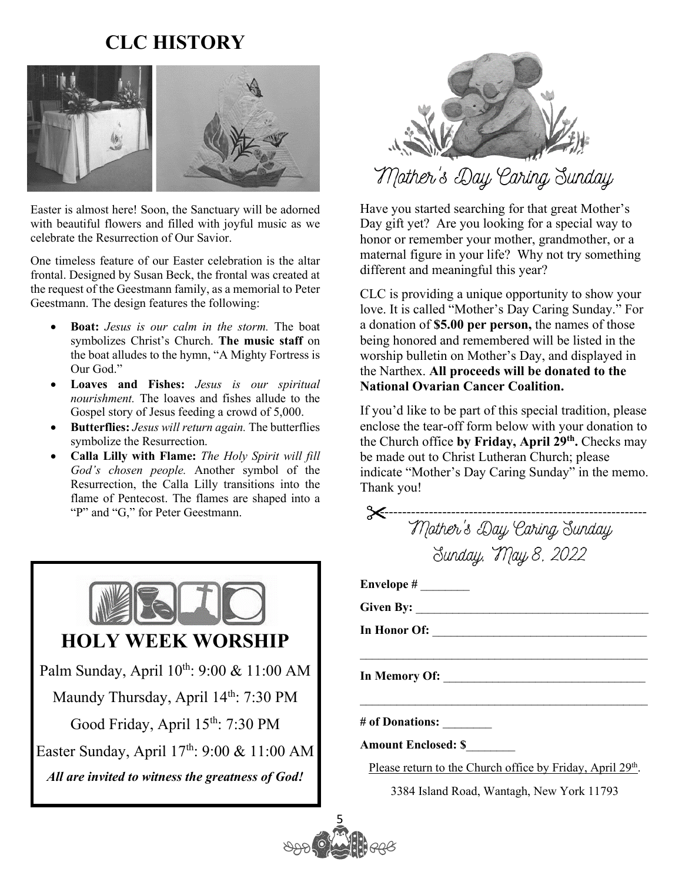### **CLC HISTORY**



Easter is almost here! Soon, the Sanctuary will be adorned with beautiful flowers and filled with joyful music as we celebrate the Resurrection of Our Savior.

One timeless feature of our Easter celebration is the altar frontal. Designed by Susan Beck, the frontal was created at the request of the Geestmann family, as a memorial to Peter Geestmann. The design features the following:

- **Boat:** *Jesus is our calm in the storm.* The boat symbolizes Christ's Church. **The music staff** on the boat alludes to the hymn, "A Mighty Fortress is Our God."
- **Loaves and Fishes:** *Jesus is our spiritual nourishment.* The loaves and fishes allude to the Gospel story of Jesus feeding a crowd of 5,000.
- **Butterflies:** *Jesus will return again.* The butterflies symbolize the Resurrection.
- **Calla Lilly with Flame:** *The Holy Spirit will fill God's chosen people.* Another symbol of the Resurrection, the Calla Lilly transitions into the flame of Pentecost. The flames are shaped into a "P" and "G," for Peter Geestmann.





Have you started searching for that great Mother's Day gift yet? Are you looking for a special way to honor or remember your mother, grandmother, or a maternal figure in your life? Why not try something different and meaningful this year?

CLC is providing a unique opportunity to show your love. It is called "Mother's Day Caring Sunday." For a donation of **\$5.00 per person,** the names of those being honored and remembered will be listed in the worship bulletin on Mother's Day, and displayed in the Narthex. **All proceeds will be donated to the National Ovarian Cancer Coalition.** 

If you'd like to be part of this special tradition, please enclose the tear-off form below with your donation to the Church office **by Friday, April 29th.** Checks may be made out to Christ Lutheran Church; please indicate "Mother's Day Caring Sunday" in the memo. Thank you!

| ------------------------------------                                   |
|------------------------------------------------------------------------|
| Mother's Day Caring Sunday                                             |
| Sunday, May 8, 2022                                                    |
|                                                                        |
|                                                                        |
|                                                                        |
|                                                                        |
|                                                                        |
|                                                                        |
| # of Donations: ________                                               |
| <b>Amount Enclosed: \$</b>                                             |
| Please return to the Church office by Friday, April 29 <sup>th</sup> . |

3384 Island Road, Wantagh, New York 11793

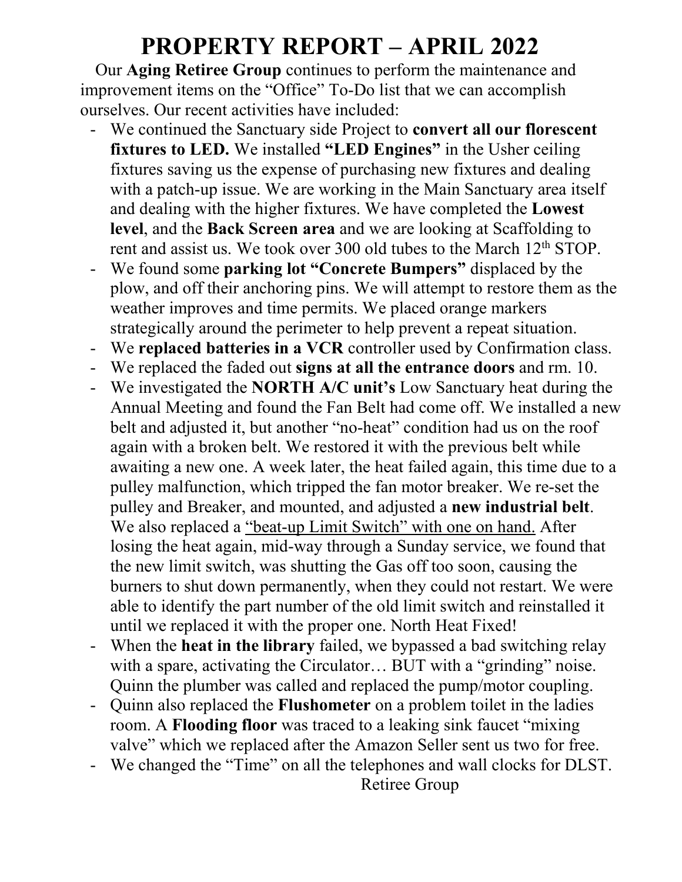### **PROPERTY REPORT – APRIL 2022**

Our **Aging Retiree Group** continues to perform the maintenance and improvement items on the "Office" To-Do list that we can accomplish ourselves. Our recent activities have included:

- We continued the Sanctuary side Project to **convert all our florescent fixtures to LED.** We installed **"LED Engines"** in the Usher ceiling fixtures saving us the expense of purchasing new fixtures and dealing with a patch-up issue. We are working in the Main Sanctuary area itself and dealing with the higher fixtures. We have completed the **Lowest level**, and the **Back Screen area** and we are looking at Scaffolding to rent and assist us. We took over 300 old tubes to the March 12<sup>th</sup> STOP.
- We found some **parking lot "Concrete Bumpers"** displaced by the plow, and off their anchoring pins. We will attempt to restore them as the weather improves and time permits. We placed orange markers strategically around the perimeter to help prevent a repeat situation.
- We **replaced batteries in a VCR** controller used by Confirmation class.
- We replaced the faded out **signs at all the entrance doors** and rm. 10.
- We investigated the **NORTH A/C unit's** Low Sanctuary heat during the Annual Meeting and found the Fan Belt had come off. We installed a new belt and adjusted it, but another "no-heat" condition had us on the roof again with a broken belt. We restored it with the previous belt while awaiting a new one. A week later, the heat failed again, this time due to a pulley malfunction, which tripped the fan motor breaker. We re-set the pulley and Breaker, and mounted, and adjusted a **new industrial belt**. We also replaced a "beat-up Limit Switch" with one on hand. After losing the heat again, mid-way through a Sunday service, we found that the new limit switch, was shutting the Gas off too soon, causing the burners to shut down permanently, when they could not restart. We were able to identify the part number of the old limit switch and reinstalled it until we replaced it with the proper one. North Heat Fixed!
- When the **heat in the library** failed, we bypassed a bad switching relay with a spare, activating the Circulator... BUT with a "grinding" noise. Quinn the plumber was called and replaced the pump/motor coupling.
- Quinn also replaced the **Flushometer** on a problem toilet in the ladies room. A **Flooding floor** was traced to a leaking sink faucet "mixing valve" which we replaced after the Amazon Seller sent us two for free.
- We changed the "Time" on all the telephones and wall clocks for DLST. Retiree Group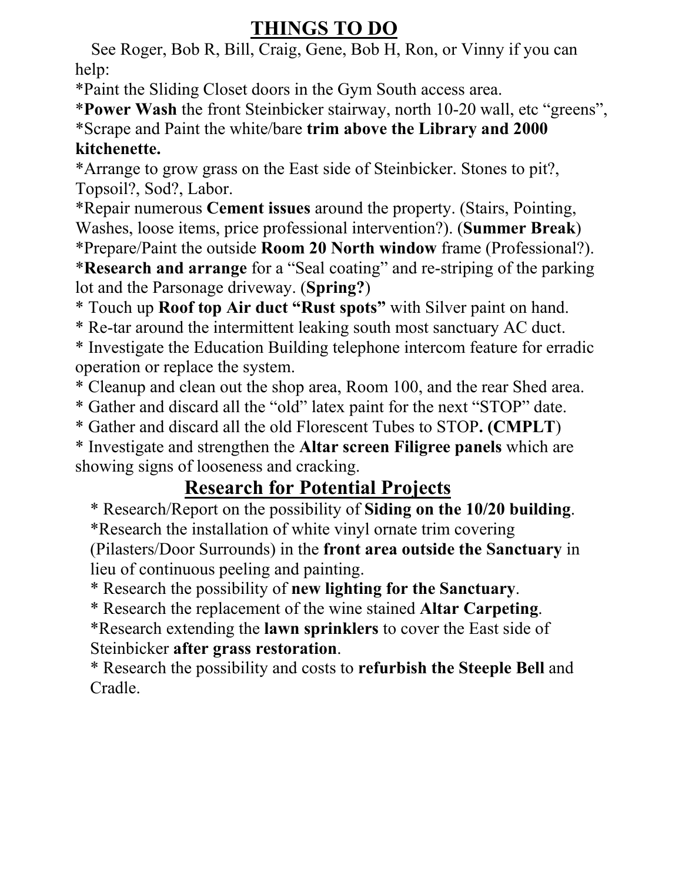### **THINGS TO DO**

 See Roger, Bob R, Bill, Craig, Gene, Bob H, Ron, or Vinny if you can help:

\*Paint the Sliding Closet doors in the Gym South access area.

\***Power Wash** the front Steinbicker stairway, north 10-20 wall, etc "greens", \*Scrape and Paint the white/bare **trim above the Library and 2000 kitchenette.**

\*Arrange to grow grass on the East side of Steinbicker. Stones to pit?, Topsoil?, Sod?, Labor.

\*Repair numerous **Cement issues** around the property. (Stairs, Pointing, Washes, loose items, price professional intervention?). (**Summer Break**)

\*Prepare/Paint the outside **Room 20 North window** frame (Professional?).

\***Research and arrange** for a "Seal coating" and re-striping of the parking lot and the Parsonage driveway. (**Spring?**)

\* Touch up **Roof top Air duct "Rust spots"** with Silver paint on hand.

\* Re-tar around the intermittent leaking south most sanctuary AC duct.

\* Investigate the Education Building telephone intercom feature for erradic operation or replace the system.

\* Cleanup and clean out the shop area, Room 100, and the rear Shed area.

\* Gather and discard all the "old" latex paint for the next "STOP" date.

\* Gather and discard all the old Florescent Tubes to STOP**. (CMPLT**)

\* Investigate and strengthen the **Altar screen Filigree panels** which are showing signs of looseness and cracking.

### **Research for Potential Projects**

\* Research/Report on the possibility of **Siding on the 10/20 building**. \*Research the installation of white vinyl ornate trim covering

(Pilasters/Door Surrounds) in the **front area outside the Sanctuary** in lieu of continuous peeling and painting.

\* Research the possibility of **new lighting for the Sanctuary**.

\* Research the replacement of the wine stained **Altar Carpeting**.

\*Research extending the **lawn sprinklers** to cover the East side of Steinbicker **after grass restoration**.

\* Research the possibility and costs to **refurbish the Steeple Bell** and Cradle.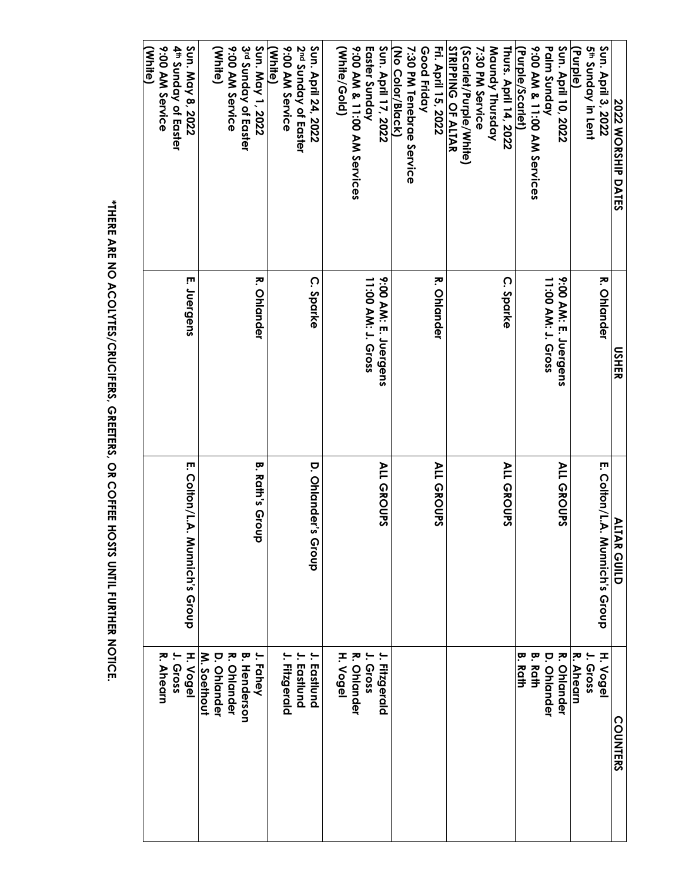| 2022 WORSHIP DATES                   | <b>USHER</b>         |                                     | <b>ALLAR GUILD</b>  |
|--------------------------------------|----------------------|-------------------------------------|---------------------|
| Sun. April 3, 2022                   | <b>R. Ohlander</b>   | E. Colton/L.A.<br>Munnich's Group   | H. Vogel            |
| <b>S<sup>th</sup> Sunday in Lent</b> |                      |                                     | J. Gross            |
| (Purple)                             |                      |                                     | R. Ahearn           |
| Sun. April 10, 2022                  | 9:00 AM: E. Juergens | <b>ALL GROUPS</b>                   | <b>R. Ohlander</b>  |
| Palm Sunday                          | 11:00 AM: J. Gross   |                                     | <b>D. Orlander</b>  |
| 9:00 AM & 11:00 AM Services          |                      |                                     | <b>B. Rath</b>      |
| (Purple/Scarlet)                     |                      |                                     | Ŗ.<br><b>Rath</b>   |
| Thurs. April 14, 2022                | C. Sparke            | <b>ALL GROUPS</b>                   |                     |
| Maundy Thursday                      |                      |                                     |                     |
| 7:30 PM Service                      |                      |                                     |                     |
| (Scarlet/Purple/White)               |                      |                                     |                     |
| <b>STRIPPING OF ALTAR</b>            |                      |                                     |                     |
| Fri. April 15, 2022                  | <b>R. Ohlander</b>   | <b>ALL GROUPS</b>                   |                     |
| Good Friday                          |                      |                                     |                     |
| 7:30 PM Tenebrae Service             |                      |                                     |                     |
| (No Color/Black)                     |                      |                                     |                     |
| Sun. April 17, 2022                  | 9:00 AM: E. Juergens | <b>ALL GROUPS</b>                   | J. Fitzgerald       |
| Easter Sunday                        | 11:00 AM: J. Gross   |                                     | J. Gross            |
| 9:00 AM & 11:00 AM Services          |                      |                                     | R. Ohlander         |
| (White/Gold)                         |                      |                                     | H. Vogel            |
| Sun. April 24, 2022                  | C. Sparke            | D. Ohlander's<br>dno <sub>1</sub> 9 | J. Eastlund         |
| 2 <sup>nd</sup> Sunday of Easter     |                      |                                     | Eastlund            |
| 9:00 AM Service                      |                      |                                     | J. Fitzgerald       |
| (White)                              |                      |                                     |                     |
| Sun. May 1, 2022                     | <b>R. Ohlander</b>   | <b>B. Rath's Groul</b><br>σ         | J. Fahey            |
| 3rd Sunday of Easter                 |                      |                                     | <b>B. Henderson</b> |
| 9:00 AM Service                      |                      |                                     | <b>R. Ohlander</b>  |
| (White)                              |                      |                                     | <b>D. Ohlander</b>  |
|                                      |                      |                                     | M. Soethout         |
| Sun. May 8, 2022                     | E. Juergens          | E. Colton/L.A. Munnich's Group      | H. Vogel            |
| 4 <sup>th</sup> Sunday of Easter     |                      |                                     | Gross               |
| 9:00 AM Service<br>(White)           |                      |                                     | R. Ahearn           |
|                                      |                      |                                     |                     |

\*THERE ARE NO ACOLYTES/CRUCIFERS, GREETERS, OR COFFEE HOSTS UNTIL FURTHER NOTICE. **\*THERE ARE NO ACOLYTES/CRUCIFERS, GREETERS, OR COFFEE HOSTS UNTIL FURTHER NOTICE.**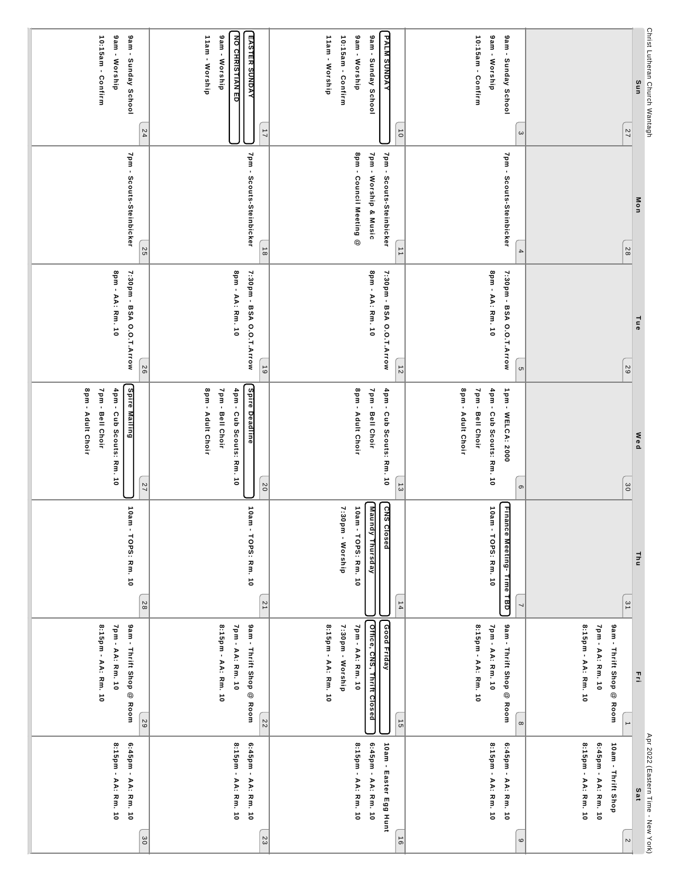| gam - Worship<br>9am - Sunday School<br>10:15am - Confirm<br>24                          | NO CHRISTIAN ED<br>11am - Worship<br>9am - Worship<br><b>EASTER SUNDAY</b><br>$\overline{1}$                 | 11am - Worship<br>9am - Worship<br>10:15am - Confirm        | 9am - Sunday School<br><b>PALM SUNDAY</b><br>$\vec{0}$                      | 10:15am - Confirm<br>9am - Worship<br>9am - Sunday School<br>$\omega$                             | 77                                                                         | Christ Lutheran Church Wantagh<br>Sun     |
|------------------------------------------------------------------------------------------|--------------------------------------------------------------------------------------------------------------|-------------------------------------------------------------|-----------------------------------------------------------------------------|---------------------------------------------------------------------------------------------------|----------------------------------------------------------------------------|-------------------------------------------|
| 7pm - Scouts-Steinbicker<br>55                                                           | 7pm - Scouts-Steinbicker<br>$\frac{1}{8}$                                                                    | 8pm - Council Meeting @                                     | 7pm - Worship & Music<br>7pm - Scouts-Steinbicker<br>$\overrightarrow{ }$   | 7pm - Scouts-Steinbicker<br>$\overline{\bf 4}$                                                    | 82                                                                         | Mon                                       |
| 8pm - AA: Rm. 10<br>7:30pm - BSA O.O.T.Arrow<br>56                                       | 8pm - AA: Rm. 10<br>7:30pm - BSA O.O.T.Arrow<br>$\overline{6}$                                               |                                                             | 8pm - AA: Rm. 10<br>7:30pm - BSA O.O.T.Arrow<br>$\frac{1}{2}$               | 8pm - AA: Rm. 10<br>7:30pm - BSA O.O.T.Arrow<br><b>ຕ</b>                                          | $\sqrt{6}$                                                                 | Tue                                       |
| Spire Mailing<br>8pm - Adult Choir<br>7pm - Bell Choir<br>4pm - Cub Scouts: Rm. 10<br>77 | <b>Spire Deadline</b><br>8pm - Adult Choir<br>7pm - Bell Choir<br>4pm - Cub Scouts: Rm. 10<br>$\overline{0}$ | 8pm - Adult Choir                                           | 7pm - Bell Choir<br>4pm - Cub Scouts: Rm. 10<br>$\frac{1}{3}$               | 8pm - Adult Choir<br>7pm - Bell Choir<br>4pm - Cub Scouts: Rm. 10<br>1pm - WELCA: 2000<br>$\circ$ | 30                                                                         | Wed                                       |
| 10am - TOPS: Rm. 10<br>28                                                                | 10 m - TOPS: Rm. 10<br>$\overline{2}$                                                                        | 7:30pm - Worship<br>10am - TOPS: Rm. 10                     | <b>Maundy Thursday</b><br>SN <sub>2</sub><br><b>Crosed</b><br>$\frac{1}{4}$ | <b>Finance Meeting-Time TBD</b><br>10am - TOPS: Rm. 10                                            | $\overline{3}$ 1                                                           | <b>Thu</b>                                |
| 8:15pm - AA: Rm. 10<br>7pm - AA: Rm. 10<br><b>Sam - Thrift Shop @ Room</b><br>58         | 8:15pm - AA: Rm. 10<br>7pm - AA: Rm. 10<br><b>9am - Thrift Shop @ Room</b><br>22                             | 8:15pm - AA: Rm. 10<br>7:30pm - Worship<br>7pm - AA: Rm. 10 | Office, CNS, Thrift Closed<br>Good Friday<br>$\frac{1}{9}$                  | 9am - Thritt Shop @ Room<br>8:15pm - AA: Rm. 10<br>7pm - AA: Rm. 10<br>$\infty$                   | 8:15pm - AA: Rm. 10<br>7pm - AA: Rm. 10<br>9am - Thritt Shop @ Room        | 콬                                         |
| 8:15pm - AA: Rm. 10<br>6:45pm - AA: Rm. 10<br>$\frac{30}{2}$                             | 6:45pm - AA: Rm. 10<br>8:15pm - AA: Rm. 10<br>23                                                             | 8:15pm - AA: Rm. 10                                         | 6:45pm - AA: Rm. 10<br>10am - Easter Egg Hunt<br>$\vec{e}$                  | 8:15pm - AA: Rm. 10<br>6:45pm - AA: Rm. 10<br>$\circ$                                             | 8:15pm - AA: Rm. 10<br>6:45pm - AA: Rm. 10<br>10am - Thrift Shop<br>$\sim$ | Apr 2022 (Eastern Time - New York)<br>Sat |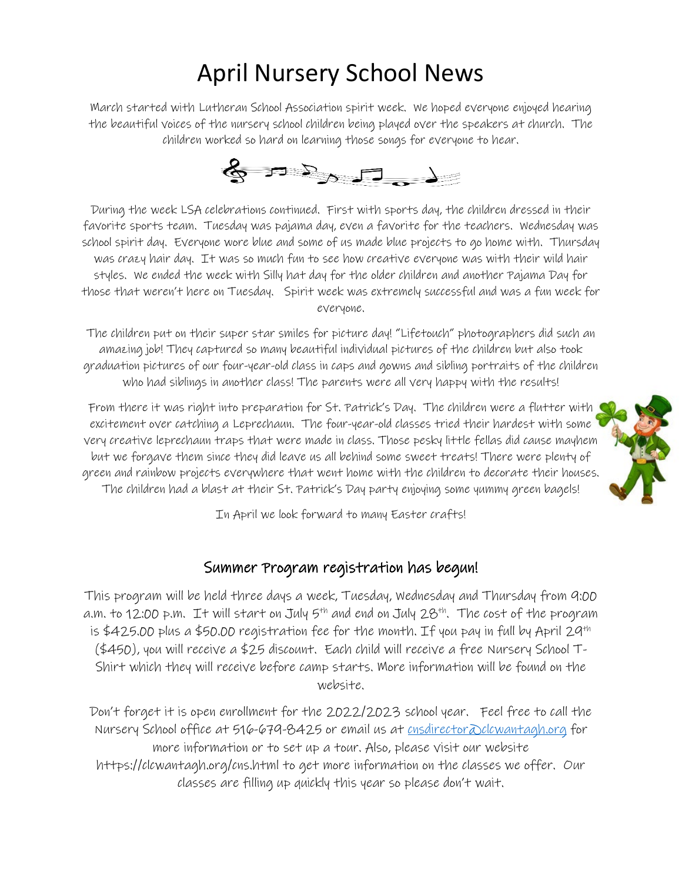## April Nursery School News

March started with Lutheran School Association spirit week. We hoped everyone enjoyed hearing the beautiful voices of the nursery school children being played over the speakers at church. The children worked so hard on learning those songs for everyone to hear.



During the week LSA celebrations continued. First with sports day, the children dressed in their favorite sports team. Tuesday was pajama day, even a favorite for the teachers. Wednesday was school spirit day. Everyone wore blue and some of us made blue projects to go home with. Thursday was crazy hair day. It was so much fun to see how creative everyone was with their wild hair styles. We ended the week with Silly hat day for the older children and another Pajama Day for those that weren't here on Tuesday. Spirit week was extremely successful and was a fun week for everyone.

The children put on their super star smiles for picture day! "Lifetouch" photographers did such an amazing job! They captured so many beautiful individual pictures of the children but also took graduation pictures of our four-year-old class in caps and gowns and sibling portraits of the children who had siblings in another class! The parents were all very happy with the results!

From there it was right into preparation for St. Patrick's Day. The children were a flutter with excitement over catching a Leprechaun. The four-year-old classes tried their hardest with some very creative leprechaun traps that were made in class. Those pesky little fellas did cause mayhem but we forgave them since they did leave us all behind some sweet treats! There were plenty of green and rainbow projects everywhere that went home with the children to decorate their houses. The children had a blast at their St. Patrick's Day party enjoying some yummy green bagels!



In April we look forward to many Easter crafts!

#### Summer Program registration has begun!

This program will be held three days a week, Tuesday, Wednesday and Thursday from 9:00 a.m. to 12:00 p.m. It will start on July  $5^{th}$  and end on July 28<sup>th</sup>. The cost of the program is \$425.00 plus a \$50.00 registration fee for the month. If you pay in full by April 29<sup>th</sup> (\$450), you will receive a \$25 discount. Each child will receive a free Nursery School T-Shirt which they will receive before camp starts. More information will be found on the website.

Don't forget it is open enrollment for the 2022/2023 school year. Feel free to call the Nursery School office at 516-679-8425 or email us at <u>cnsdirector</u> Delcwantagh.org for more information or to set up a tour. Also, please visit our website https://clcwantagh.org/cns.html to get more information on the classes we offer. Our classes are filling up quickly this year so please don't wait.